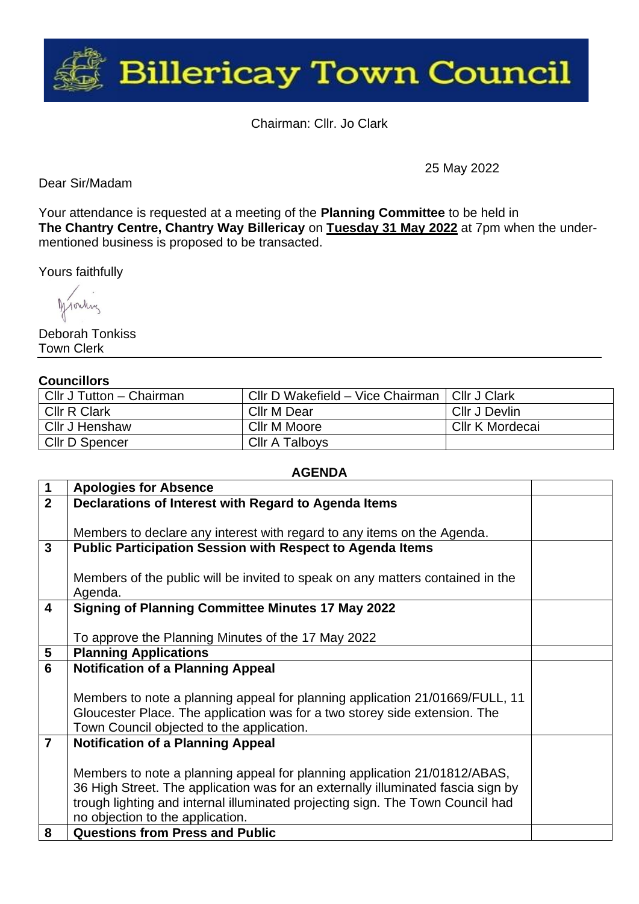

Chairman: Cllr. Jo Clark

Dear Sir/Madam

25 May 2022

Your attendance is requested at a meeting of the **Planning Committee** to be held in **The Chantry Centre, Chantry Way Billericay** on **Tuesday 31 May 2022** at 7pm when the undermentioned business is proposed to be transacted.

Yours faithfully

Monday

Deborah Tonkiss Town Clerk

## **Councillors**

| Cllr J Tutton - Chairman | Cllr D Wakefield - Vice Chairman   Cllr J Clark |                 |
|--------------------------|-------------------------------------------------|-----------------|
| <b>CIIr R Clark</b>      | Cllr M Dear                                     | Cllr J Devlin   |
| Cllr J Henshaw           | Cllr M Moore                                    | Cllr K Mordecai |
| CIIr D Spencer           | Cllr A Talboys                                  |                 |

## **AGENDA**

| $\mathbf 1$    | <b>Apologies for Absence</b>                                                     |  |
|----------------|----------------------------------------------------------------------------------|--|
| $\overline{2}$ | Declarations of Interest with Regard to Agenda Items                             |  |
|                |                                                                                  |  |
|                | Members to declare any interest with regard to any items on the Agenda.          |  |
| $\mathbf{3}$   | <b>Public Participation Session with Respect to Agenda Items</b>                 |  |
|                |                                                                                  |  |
|                | Members of the public will be invited to speak on any matters contained in the   |  |
|                | Agenda.                                                                          |  |
| 4              | <b>Signing of Planning Committee Minutes 17 May 2022</b>                         |  |
|                |                                                                                  |  |
|                | To approve the Planning Minutes of the 17 May 2022                               |  |
| 5              | <b>Planning Applications</b>                                                     |  |
| 6              | <b>Notification of a Planning Appeal</b>                                         |  |
|                |                                                                                  |  |
|                | Members to note a planning appeal for planning application 21/01669/FULL, 11     |  |
|                | Gloucester Place. The application was for a two storey side extension. The       |  |
|                | Town Council objected to the application.                                        |  |
| $\overline{7}$ | <b>Notification of a Planning Appeal</b>                                         |  |
|                |                                                                                  |  |
|                | Members to note a planning appeal for planning application 21/01812/ABAS,        |  |
|                | 36 High Street. The application was for an externally illuminated fascia sign by |  |
|                | trough lighting and internal illuminated projecting sign. The Town Council had   |  |
|                | no objection to the application.                                                 |  |
| 8              | <b>Questions from Press and Public</b>                                           |  |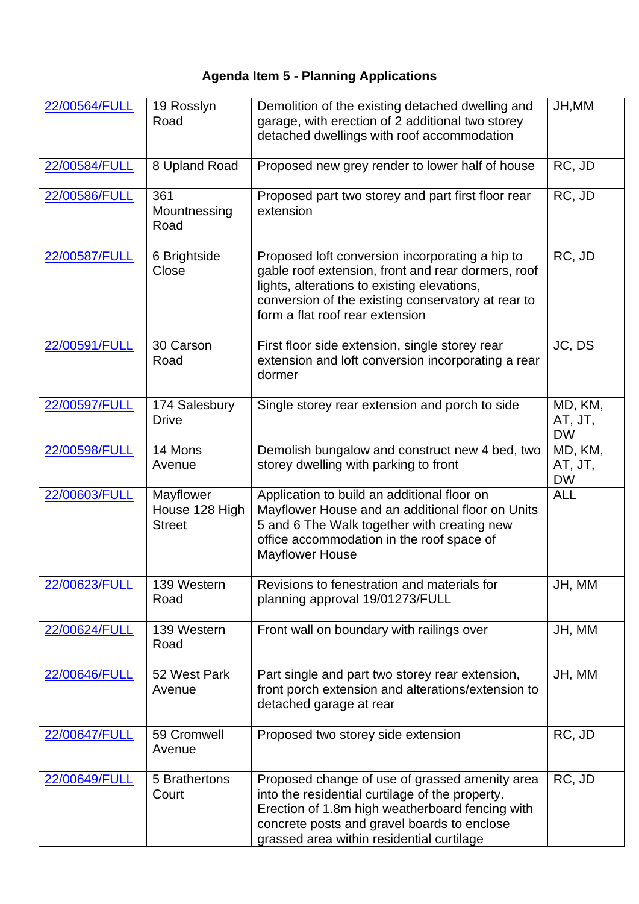## **Agenda Item 5 - Planning Applications**

| 22/00564/FULL | 19 Rosslyn<br>Road                           | Demolition of the existing detached dwelling and<br>garage, with erection of 2 additional two storey<br>detached dwellings with roof accommodation                                                                                               | JH, MM                          |
|---------------|----------------------------------------------|--------------------------------------------------------------------------------------------------------------------------------------------------------------------------------------------------------------------------------------------------|---------------------------------|
| 22/00584/FULL | 8 Upland Road                                | Proposed new grey render to lower half of house                                                                                                                                                                                                  | RC, JD                          |
| 22/00586/FULL | 361<br>Mountnessing<br>Road                  | Proposed part two storey and part first floor rear<br>extension                                                                                                                                                                                  | RC, JD                          |
| 22/00587/FULL | 6 Brightside<br>Close                        | Proposed loft conversion incorporating a hip to<br>gable roof extension, front and rear dormers, roof<br>lights, alterations to existing elevations,<br>conversion of the existing conservatory at rear to<br>form a flat roof rear extension    | RC, JD                          |
| 22/00591/FULL | 30 Carson<br>Road                            | First floor side extension, single storey rear<br>extension and loft conversion incorporating a rear<br>dormer                                                                                                                                   | JC, DS                          |
| 22/00597/FULL | 174 Salesbury<br><b>Drive</b>                | Single storey rear extension and porch to side                                                                                                                                                                                                   | MD, KM,<br>AT, JT,<br><b>DW</b> |
| 22/00598/FULL | 14 Mons<br>Avenue                            | Demolish bungalow and construct new 4 bed, two<br>storey dwelling with parking to front                                                                                                                                                          | MD, KM,<br>AT, JT,<br><b>DW</b> |
| 22/00603/FULL | Mayflower<br>House 128 High<br><b>Street</b> | Application to build an additional floor on<br>Mayflower House and an additional floor on Units<br>5 and 6 The Walk together with creating new<br>office accommodation in the roof space of<br><b>Mayflower House</b>                            | <b>ALL</b>                      |
| 22/00623/FULL | 139 Western<br>Road                          | Revisions to fenestration and materials for<br>planning approval 19/01273/FULL                                                                                                                                                                   | JH, MM                          |
| 22/00624/FULL | 139 Western<br>Road                          | Front wall on boundary with railings over                                                                                                                                                                                                        | JH, MM                          |
| 22/00646/FULL | 52 West Park<br>Avenue                       | Part single and part two storey rear extension,<br>front porch extension and alterations/extension to<br>detached garage at rear                                                                                                                 | JH, MM                          |
| 22/00647/FULL | 59 Cromwell<br>Avenue                        | Proposed two storey side extension                                                                                                                                                                                                               | RC, JD                          |
| 22/00649/FULL | 5 Brathertons<br>Court                       | Proposed change of use of grassed amenity area<br>into the residential curtilage of the property.<br>Erection of 1.8m high weatherboard fencing with<br>concrete posts and gravel boards to enclose<br>grassed area within residential curtilage | RC, JD                          |